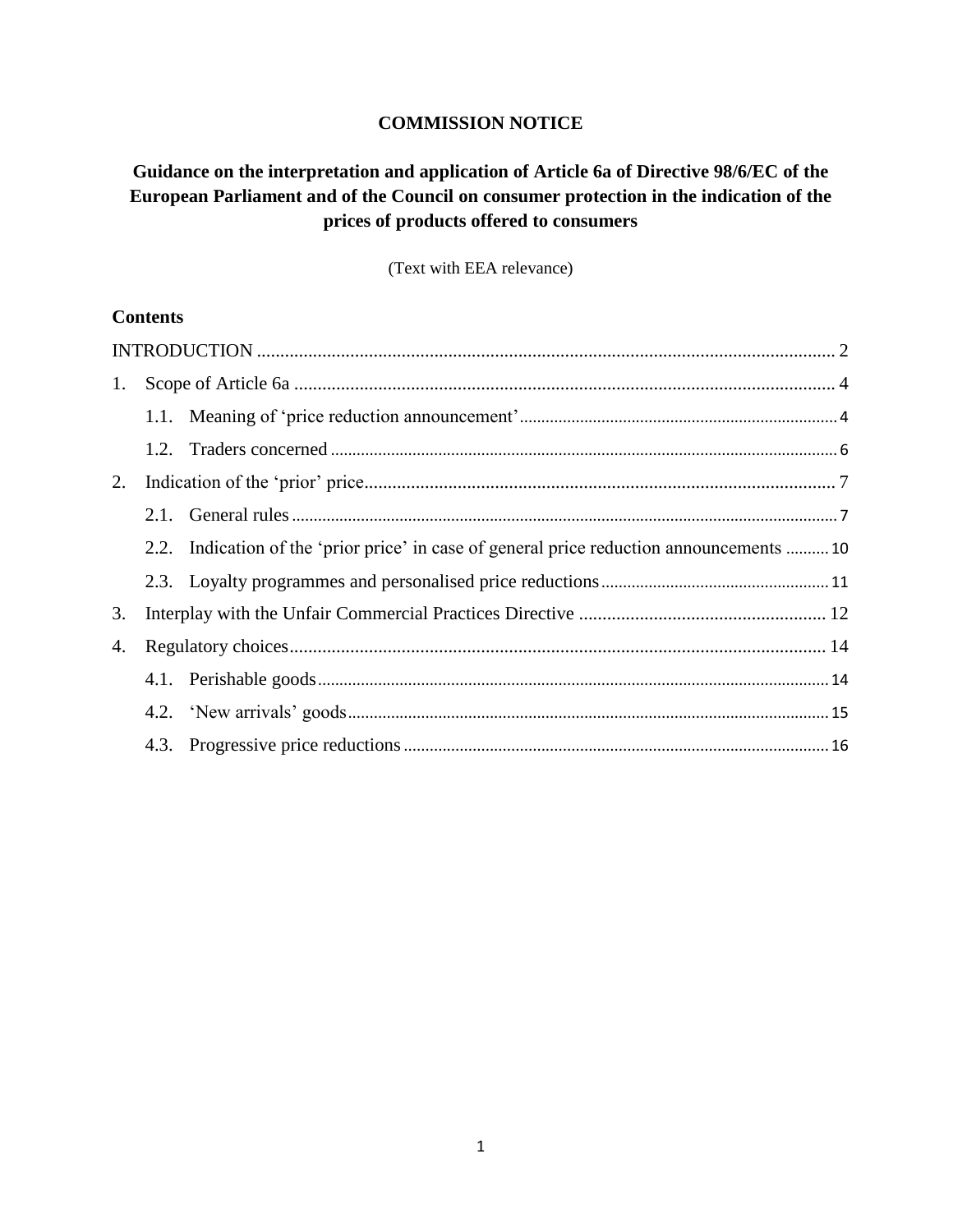### **COMMISSION NOTICE**

# **Guidance on the interpretation and application of Article 6a of Directive 98/6/EC of the European Parliament and of the Council on consumer protection in the indication of the prices of products offered to consumers**

(Text with EEA relevance)

### **Contents**

| 1. |  |                                                                                          |  |
|----|--|------------------------------------------------------------------------------------------|--|
|    |  |                                                                                          |  |
|    |  |                                                                                          |  |
| 2. |  |                                                                                          |  |
|    |  |                                                                                          |  |
|    |  | 2.2. Indication of the 'prior price' in case of general price reduction announcements 10 |  |
|    |  |                                                                                          |  |
| 3. |  |                                                                                          |  |
| 4. |  |                                                                                          |  |
|    |  |                                                                                          |  |
|    |  |                                                                                          |  |
|    |  |                                                                                          |  |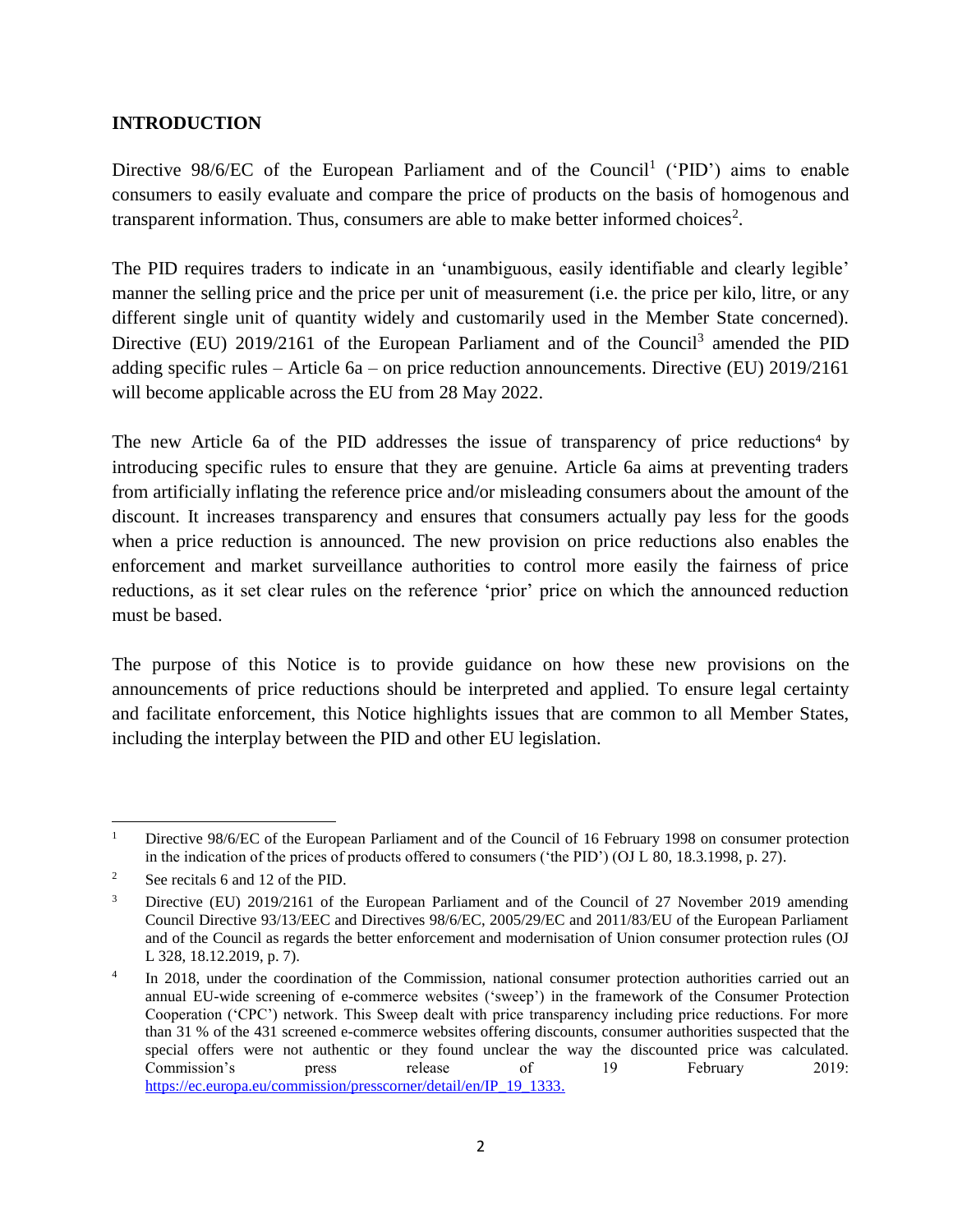### <span id="page-1-0"></span>**INTRODUCTION**

Directive  $98/6/EC$  of the European Parliament and of the Council<sup>1</sup> ('PID') aims to enable consumers to easily evaluate and compare the price of products on the basis of homogenous and transparent information. Thus, consumers are able to make better informed choices<sup>2</sup>.

The PID requires traders to indicate in an 'unambiguous, easily identifiable and clearly legible' manner the selling price and the price per unit of measurement (i.e. the price per kilo, litre, or any different single unit of quantity widely and customarily used in the Member State concerned). Directive (EU) 2019/2161 of the European Parliament and of the Council<sup>3</sup> amended the PID adding specific rules – Article 6a – on price reduction announcements. Directive (EU) 2019/2161 will become applicable across the EU from 28 May 2022.

The new Article 6a of the PID addresses the issue of transparency of price reductions<sup>4</sup> by introducing specific rules to ensure that they are genuine. Article 6a aims at preventing traders from artificially inflating the reference price and/or misleading consumers about the amount of the discount. It increases transparency and ensures that consumers actually pay less for the goods when a price reduction is announced. The new provision on price reductions also enables the enforcement and market surveillance authorities to control more easily the fairness of price reductions, as it set clear rules on the reference 'prior' price on which the announced reduction must be based.

The purpose of this Notice is to provide guidance on how these new provisions on the announcements of price reductions should be interpreted and applied. To ensure legal certainty and facilitate enforcement, this Notice highlights issues that are common to all Member States, including the interplay between the PID and other EU legislation.

 $\overline{\phantom{a}}$ <sup>1</sup> Directive 98/6/EC of the European Parliament and of the Council of 16 February 1998 on consumer protection in the indication of the prices of products offered to consumers ('the PID') (OJ L 80, 18.3.1998, p. 27).

<sup>&</sup>lt;sup>2</sup> See recitals 6 and 12 of the PID.

<sup>&</sup>lt;sup>3</sup> Directive (EU) 2019/2161 of the European Parliament and of the Council of 27 November 2019 amending Council Directive 93/13/EEC and Directives 98/6/EC, 2005/29/EC and 2011/83/EU of the European Parliament and of the Council as regards the better enforcement and modernisation of Union consumer protection rules (OJ L 328, 18.12.2019, p. 7).

<sup>4</sup> In 2018, under the coordination of the Commission, national consumer protection authorities carried out an annual EU-wide screening of e-commerce websites ('sweep') in the framework of the Consumer Protection Cooperation ('CPC') network. This Sweep dealt with price transparency including price reductions. For more than 31 % of the 431 screened e-commerce websites offering discounts, consumer authorities suspected that the special offers were not authentic or they found unclear the way the discounted price was calculated. Commission's press release of 19 February 2019: [https://ec.europa.eu/commission/presscorner/detail/en/IP\\_19\\_1333.](https://ec.europa.eu/commission/presscorner/detail/en/IP_19_1333)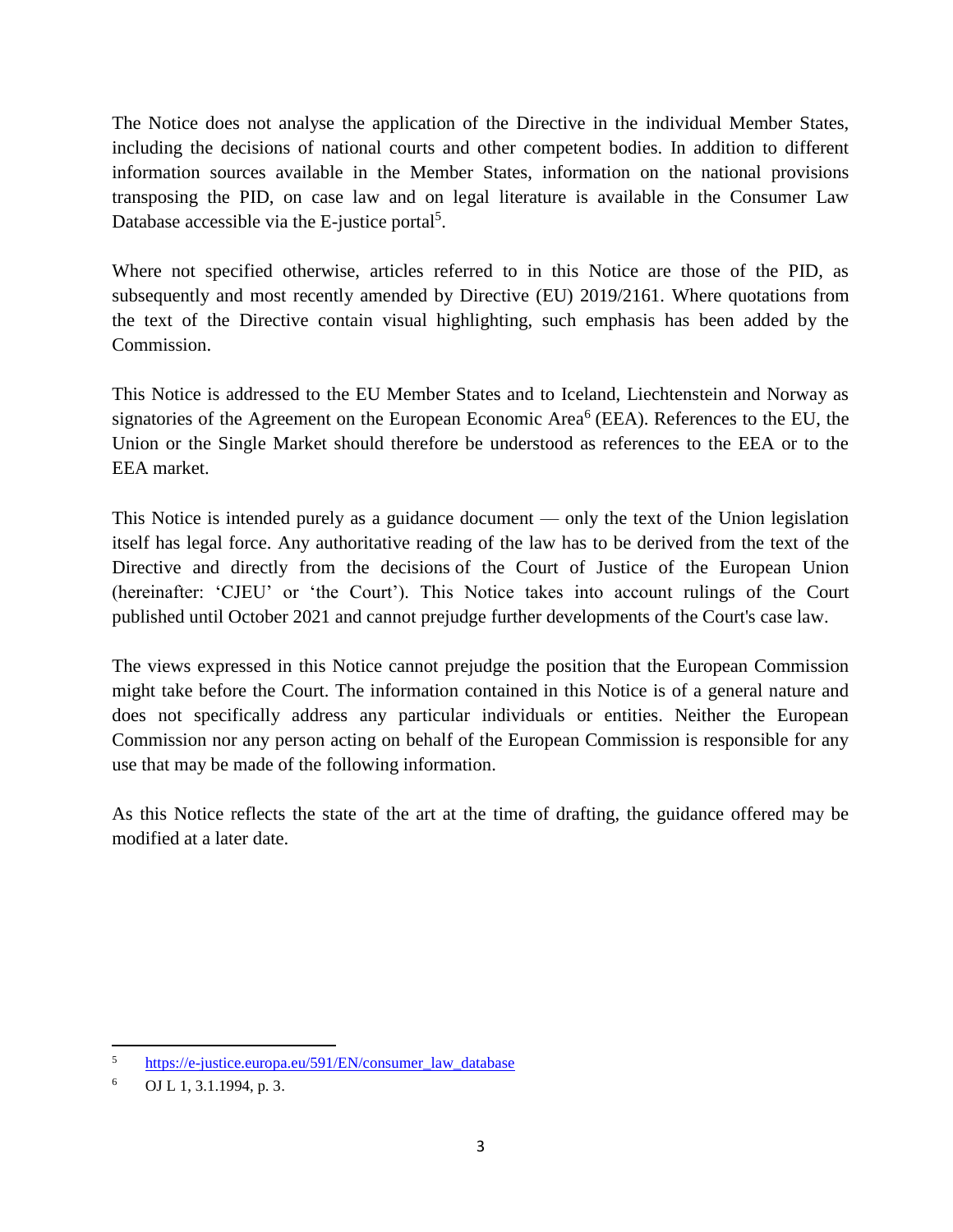The Notice does not analyse the application of the Directive in the individual Member States, including the decisions of national courts and other competent bodies. In addition to different information sources available in the Member States, information on the national provisions transposing the PID, on case law and on legal literature is available in the Consumer Law Database accessible via the E-justice portal<sup>5</sup>.

Where not specified otherwise, articles referred to in this Notice are those of the PID, as subsequently and most recently amended by Directive (EU) 2019/2161. Where quotations from the text of the Directive contain visual highlighting, such emphasis has been added by the Commission.

This Notice is addressed to the EU Member States and to Iceland, Liechtenstein and Norway as signatories of the Agreement on the European Economic Area<sup>6</sup> (EEA). References to the EU, the Union or the Single Market should therefore be understood as references to the EEA or to the EEA market.

This Notice is intended purely as a guidance document — only the text of the Union legislation itself has legal force. Any authoritative reading of the law has to be derived from the text of the Directive and directly from the decisions of the Court of Justice of the European Union (hereinafter: 'CJEU' or 'the Court'). This Notice takes into account rulings of the Court published until October 2021 and cannot prejudge further developments of the Court's case law.

The views expressed in this Notice cannot prejudge the position that the European Commission might take before the Court. The information contained in this Notice is of a general nature and does not specifically address any particular individuals or entities. Neither the European Commission nor any person acting on behalf of the European Commission is responsible for any use that may be made of the following information.

As this Notice reflects the state of the art at the time of drafting, the guidance offered may be modified at a later date.

 $\overline{5}$ <sup>5</sup> [https://e-justice.europa.eu/591/EN/consumer\\_law\\_database](https://e-justice.europa.eu/591/EN/consumer_law_database)

 $6$  OJ L 1, 3.1.1994, p. 3.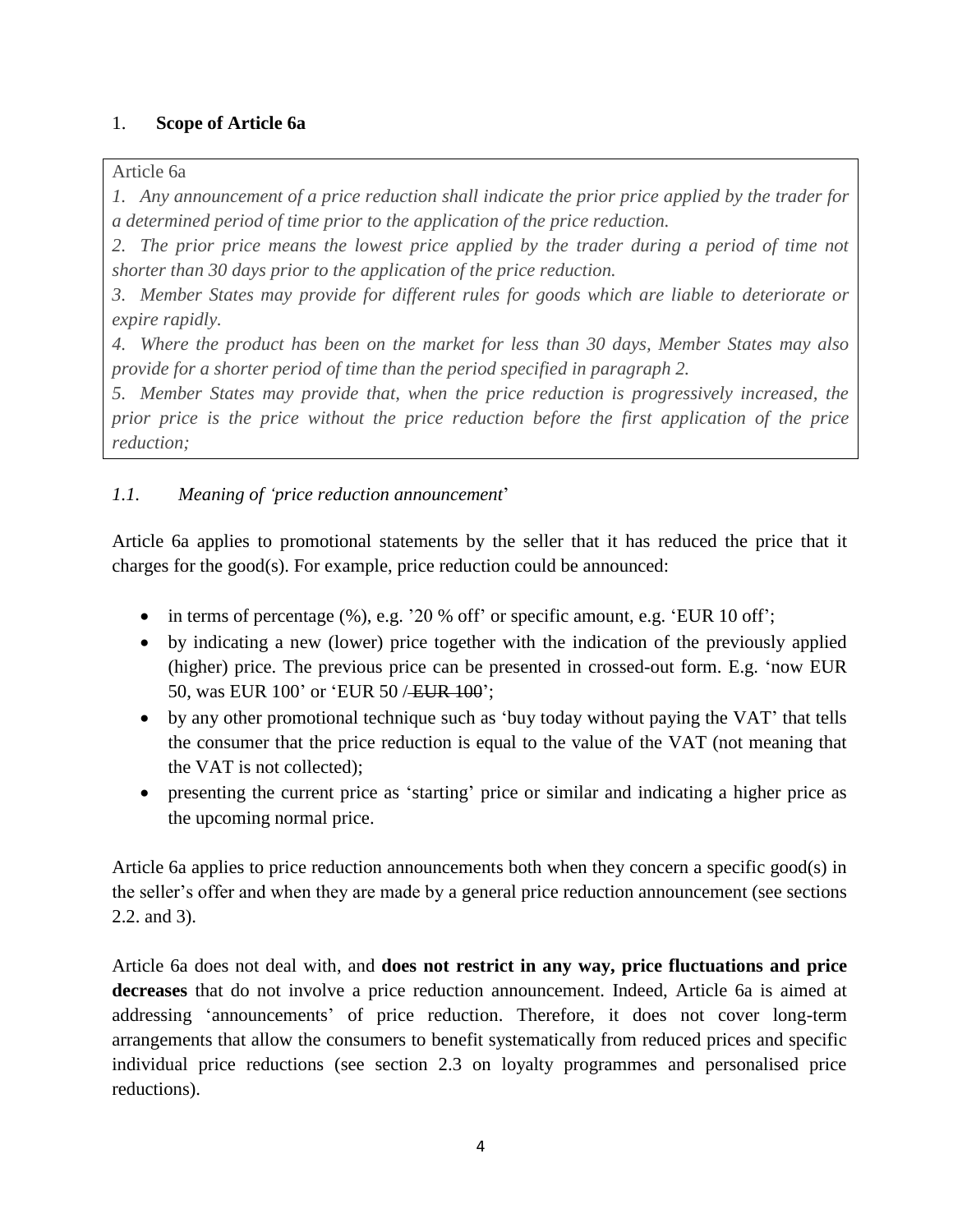## <span id="page-3-0"></span>1. **Scope of Article 6a**

Article 6a

*1. Any announcement of a price reduction shall indicate the prior price applied by the trader for a determined period of time prior to the application of the price reduction.*

*2. The prior price means the lowest price applied by the trader during a period of time not shorter than 30 days prior to the application of the price reduction.*

*3. Member States may provide for different rules for goods which are liable to deteriorate or expire rapidly.*

*4. Where the product has been on the market for less than 30 days, Member States may also provide for a shorter period of time than the period specified in paragraph 2.*

*5. Member States may provide that, when the price reduction is progressively increased, the prior price is the price without the price reduction before the first application of the price reduction;*

## <span id="page-3-1"></span>*1.1. Meaning of 'price reduction announcement*'

Article 6a applies to promotional statements by the seller that it has reduced the price that it charges for the good(s). For example, price reduction could be announced:

- $\bullet$  in terms of percentage (%), e.g. '20 % off' or specific amount, e.g. 'EUR 10 off';
- by indicating a new (lower) price together with the indication of the previously applied (higher) price. The previous price can be presented in crossed-out form. E.g. 'now EUR 50, was EUR 100' or 'EUR 50 / EUR 100';
- by any other promotional technique such as 'buy today without paying the VAT' that tells the consumer that the price reduction is equal to the value of the VAT (not meaning that the VAT is not collected);
- presenting the current price as 'starting' price or similar and indicating a higher price as the upcoming normal price.

Article 6a applies to price reduction announcements both when they concern a specific good(s) in the seller's offer and when they are made by a general price reduction announcement (see sections 2.2. and 3).

Article 6a does not deal with, and **does not restrict in any way, price fluctuations and price decreases** that do not involve a price reduction announcement. Indeed, Article 6a is aimed at addressing 'announcements' of price reduction. Therefore, it does not cover long-term arrangements that allow the consumers to benefit systematically from reduced prices and specific individual price reductions (see section 2.3 on loyalty programmes and personalised price reductions).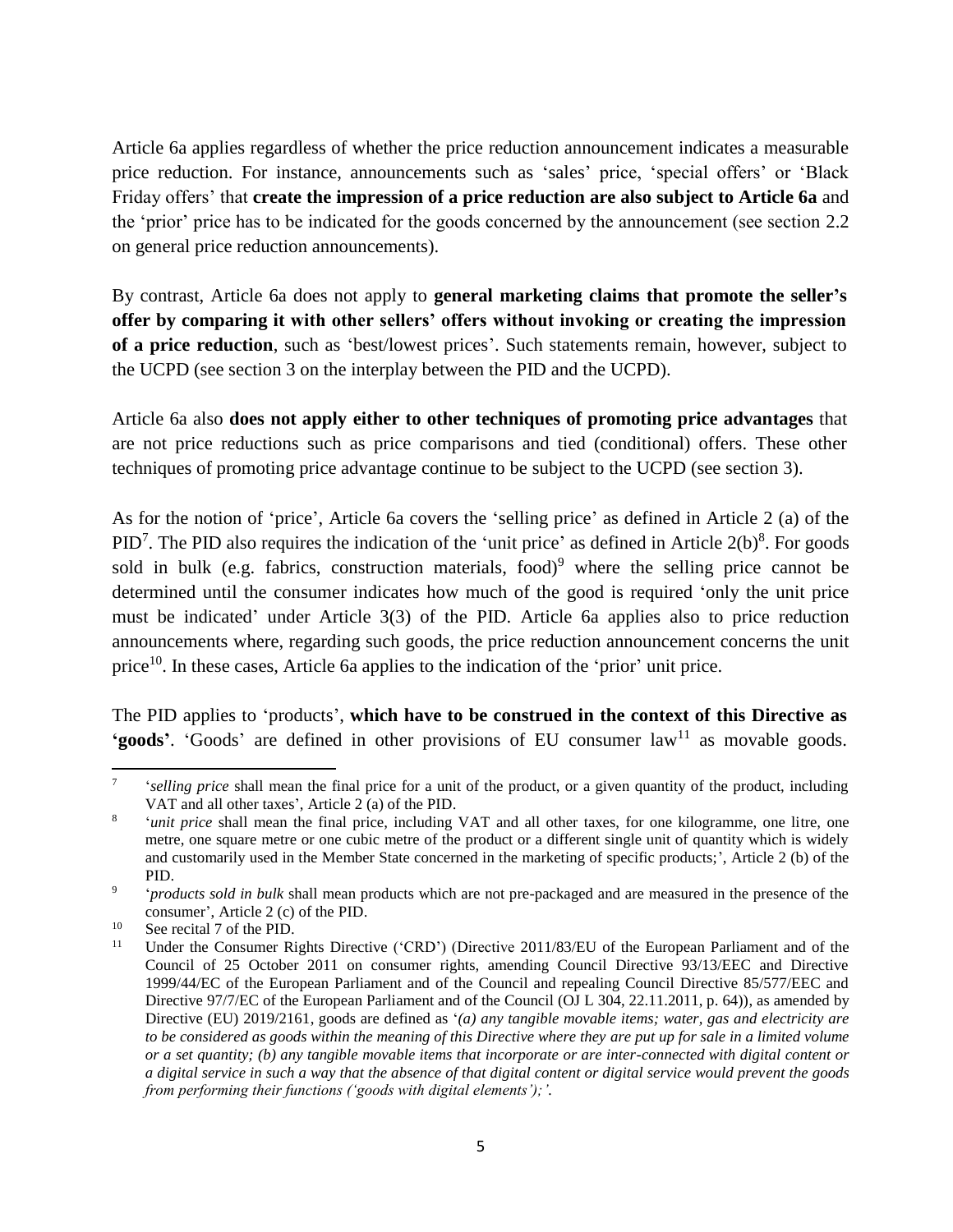Article 6a applies regardless of whether the price reduction announcement indicates a measurable price reduction. For instance, announcements such as 'sales' price, 'special offers' or 'Black Friday offers' that **create the impression of a price reduction are also subject to Article 6a** and the 'prior' price has to be indicated for the goods concerned by the announcement (see section 2.2 on general price reduction announcements).

By contrast, Article 6a does not apply to **general marketing claims that promote the seller's offer by comparing it with other sellers' offers without invoking or creating the impression of a price reduction**, such as 'best/lowest prices'. Such statements remain, however, subject to the UCPD (see section 3 on the interplay between the PID and the UCPD).

Article 6a also **does not apply either to other techniques of promoting price advantages** that are not price reductions such as price comparisons and tied (conditional) offers. These other techniques of promoting price advantage continue to be subject to the UCPD (see section 3).

As for the notion of 'price', Article 6a covers the 'selling price' as defined in Article 2 (a) of the PID<sup>7</sup>. The PID also requires the indication of the 'unit price' as defined in Article  $2(b)^8$ . For goods sold in bulk (e.g. fabrics, construction materials, food)<sup>9</sup> where the selling price cannot be determined until the consumer indicates how much of the good is required 'only the unit price must be indicated' under Article 3(3) of the PID. Article 6a applies also to price reduction announcements where, regarding such goods, the price reduction announcement concerns the unit price<sup>10</sup>. In these cases, Article 6a applies to the indication of the 'prior' unit price.

The PID applies to 'products', **which have to be construed in the context of this Directive as 'goods'**. 'Goods' are defined in other provisions of EU consumer  $law<sup>11</sup>$  as movable goods.

 $\overline{\phantom{a}}$ 7 '*selling price* shall mean the final price for a unit of the product, or a given quantity of the product, including VAT and all other taxes', Article 2 (a) of the PID.

<sup>8</sup> '*unit price* shall mean the final price, including VAT and all other taxes, for one kilogramme, one litre, one metre, one square metre or one cubic metre of the product or a different single unit of quantity which is widely and customarily used in the Member State concerned in the marketing of specific products;', Article 2 (b) of the PID.

<sup>9</sup> '*products sold in bulk* shall mean products which are not pre-packaged and are measured in the presence of the consumer', Article 2 (c) of the PID.

<sup>&</sup>lt;sup>10</sup> See recital 7 of the PID.<br><sup>11</sup> Inder the Consumer Ri

Under the Consumer Rights Directive ('CRD') (Directive 2011/83/EU of the European Parliament and of the Council of 25 October 2011 on consumer rights, amending Council Directive 93/13/EEC and Directive 1999/44/EC of the European Parliament and of the Council and repealing Council Directive 85/577/EEC and Directive 97/7/EC of the European Parliament and of the Council (OJ L 304, 22.11.2011, p. 64)), as amended by Directive (EU) 2019/2161, goods are defined as '*(a) any tangible movable items; water, gas and electricity are*  to be considered as goods within the meaning of this Directive where they are put up for sale in a limited volume *or a set quantity; (b) any tangible movable items that incorporate or are inter-connected with digital content or a digital service in such a way that the absence of that digital content or digital service would prevent the goods from performing their functions ('goods with digital elements');'.*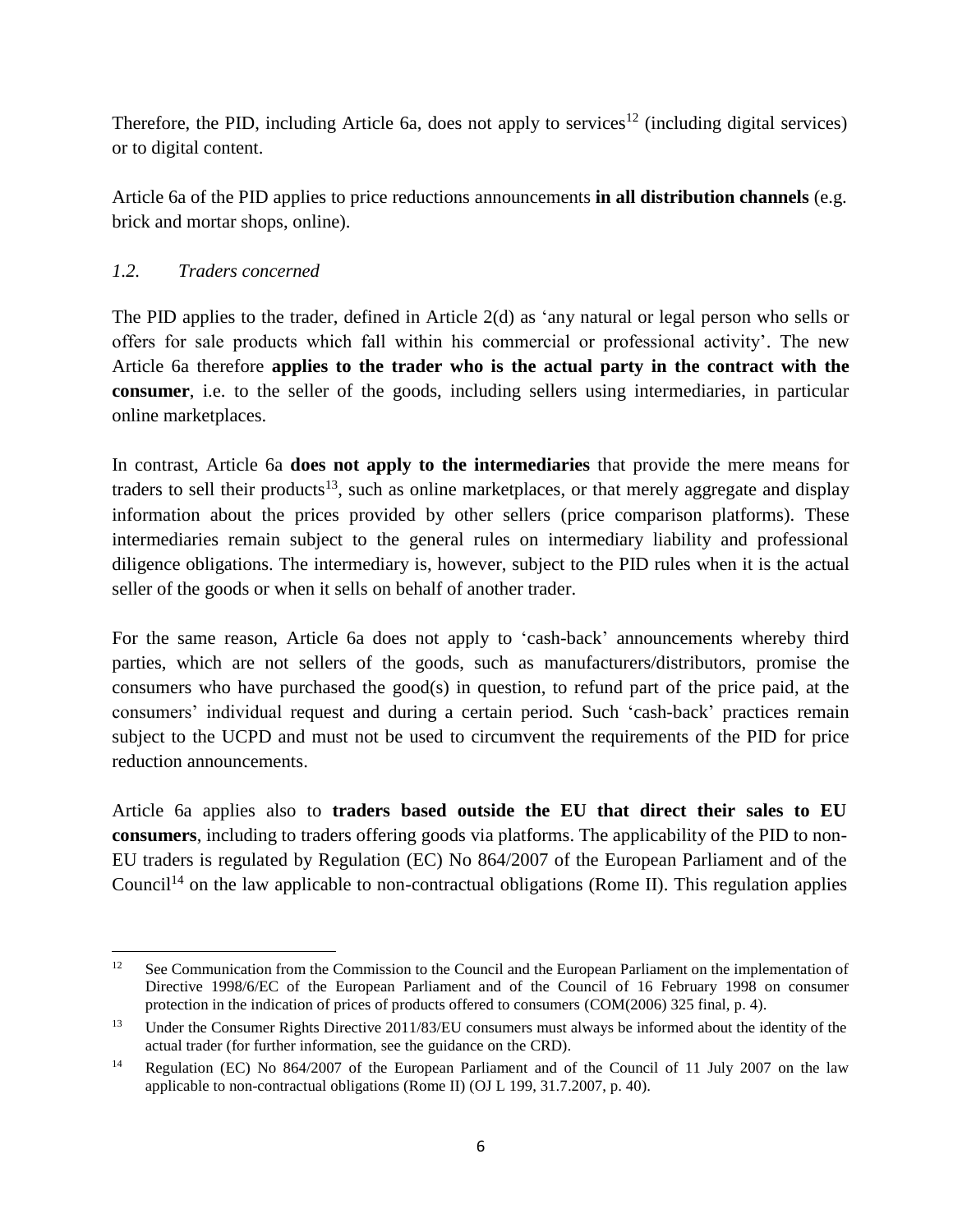Therefore, the PID, including Article 6a, does not apply to services<sup>12</sup> (including digital services) or to digital content.

Article 6a of the PID applies to price reductions announcements **in all distribution channels** (e.g. brick and mortar shops, online).

## <span id="page-5-0"></span>*1.2. Traders concerned*

The PID applies to the trader, defined in Article 2(d) as 'any natural or legal person who sells or offers for sale products which fall within his commercial or professional activity'. The new Article 6a therefore **applies to the trader who is the actual party in the contract with the consumer**, i.e. to the seller of the goods, including sellers using intermediaries, in particular online marketplaces.

In contrast, Article 6a **does not apply to the intermediaries** that provide the mere means for traders to sell their products<sup>13</sup>, such as online marketplaces, or that merely aggregate and display information about the prices provided by other sellers (price comparison platforms). These intermediaries remain subject to the general rules on intermediary liability and professional diligence obligations. The intermediary is, however, subject to the PID rules when it is the actual seller of the goods or when it sells on behalf of another trader.

For the same reason, Article 6a does not apply to 'cash-back' announcements whereby third parties, which are not sellers of the goods, such as manufacturers/distributors, promise the consumers who have purchased the good(s) in question, to refund part of the price paid, at the consumers' individual request and during a certain period. Such 'cash-back' practices remain subject to the UCPD and must not be used to circumvent the requirements of the PID for price reduction announcements.

Article 6a applies also to **traders based outside the EU that direct their sales to EU consumers**, including to traders offering goods via platforms. The applicability of the PID to non-EU traders is regulated by Regulation (EC) No 864/2007 of the European Parliament and of the Council<sup>14</sup> on the law applicable to non-contractual obligations (Rome II). This regulation applies

 $12<sup>12</sup>$ See Communication from the Commission to the Council and the European Parliament on the implementation of Directive 1998/6/EC of the European Parliament and of the Council of 16 February 1998 on consumer protection in the indication of prices of products offered to consumers (COM(2006) 325 final, p. 4).

<sup>&</sup>lt;sup>13</sup> Under the Consumer Rights Directive 2011/83/EU consumers must always be informed about the identity of the actual trader (for further information, see the guidance on the CRD).

<sup>&</sup>lt;sup>14</sup> Regulation (EC) No 864/2007 of the European Parliament and of the Council of 11 July 2007 on the law applicable to non-contractual obligations (Rome II) (OJ L 199, 31.7.2007, p. 40).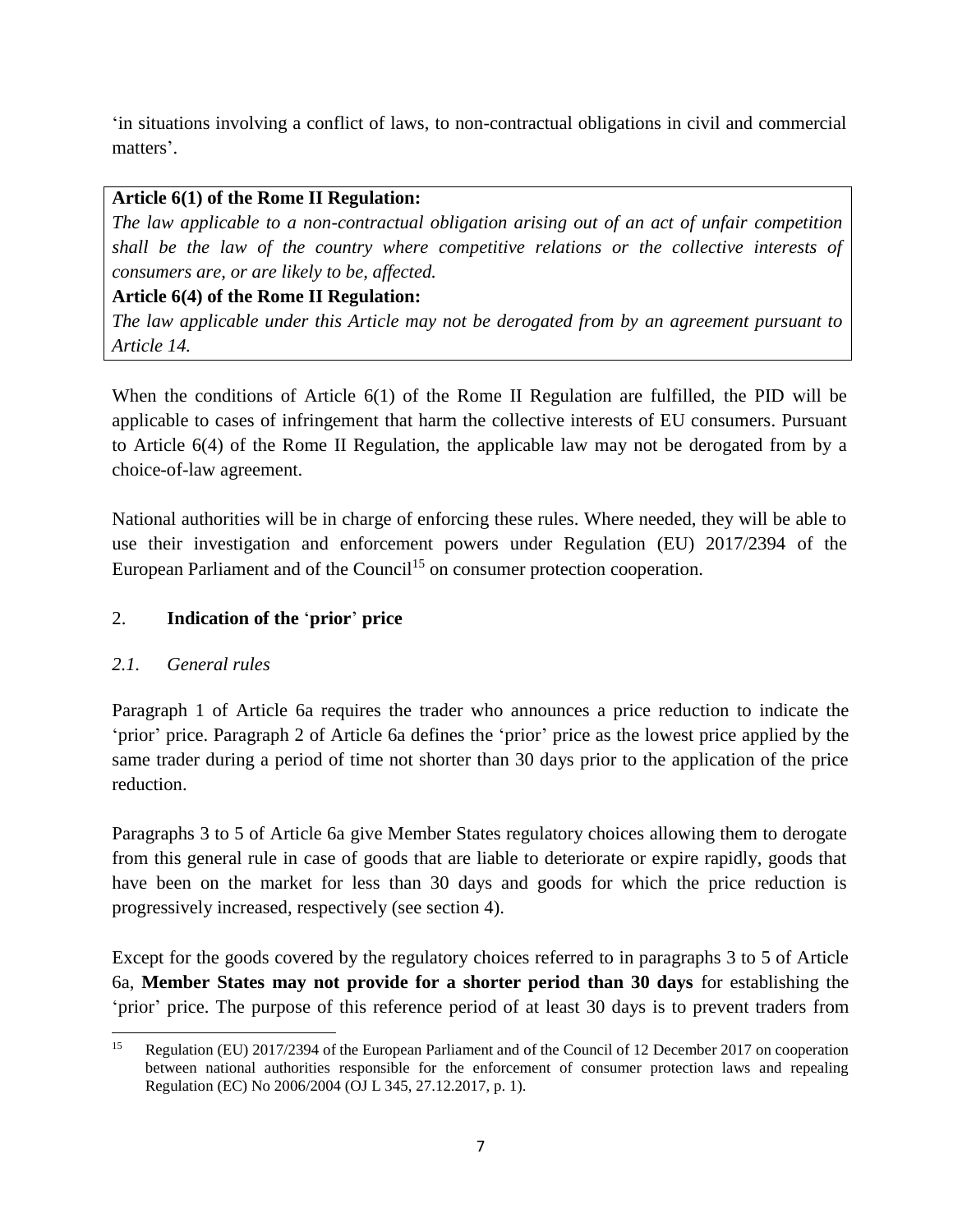'in situations involving a conflict of laws, to non-contractual obligations in civil and commercial matters'.

## **Article 6(1) of the Rome II Regulation:**

*The law applicable to a non-contractual obligation arising out of an act of unfair competition shall be the law of the country where competitive relations or the collective interests of consumers are, or are likely to be, affected.*

## **Article 6(4) of the Rome II Regulation:**

*The law applicable under this Article may not be derogated from by an agreement pursuant to Article 14.*

When the conditions of Article 6(1) of the Rome II Regulation are fulfilled, the PID will be applicable to cases of infringement that harm the collective interests of EU consumers. Pursuant to Article 6(4) of the Rome II Regulation, the applicable law may not be derogated from by a choice-of-law agreement.

National authorities will be in charge of enforcing these rules. Where needed, they will be able to use their investigation and enforcement powers under Regulation (EU) 2017/2394 of the European Parliament and of the Council<sup>15</sup> on consumer protection cooperation.

## <span id="page-6-0"></span>2. **Indication of the** '**prior**' **price**

## <span id="page-6-1"></span>*2.1. General rules*

Paragraph 1 of Article 6a requires the trader who announces a price reduction to indicate the 'prior' price. Paragraph 2 of Article 6a defines the 'prior' price as the lowest price applied by the same trader during a period of time not shorter than 30 days prior to the application of the price reduction.

Paragraphs 3 to 5 of Article 6a give Member States regulatory choices allowing them to derogate from this general rule in case of goods that are liable to deteriorate or expire rapidly, goods that have been on the market for less than 30 days and goods for which the price reduction is progressively increased, respectively (see section 4).

Except for the goods covered by the regulatory choices referred to in paragraphs 3 to 5 of Article 6a, **Member States may not provide for a shorter period than 30 days** for establishing the 'prior' price. The purpose of this reference period of at least 30 days is to prevent traders from

 $\overline{\phantom{a}}$ <sup>15</sup> Regulation (EU) 2017/2394 of the European Parliament and of the Council of 12 December 2017 on cooperation between national authorities responsible for the enforcement of consumer protection laws and repealing Regulation (EC) No 2006/2004 (OJ L 345, 27.12.2017, p. 1).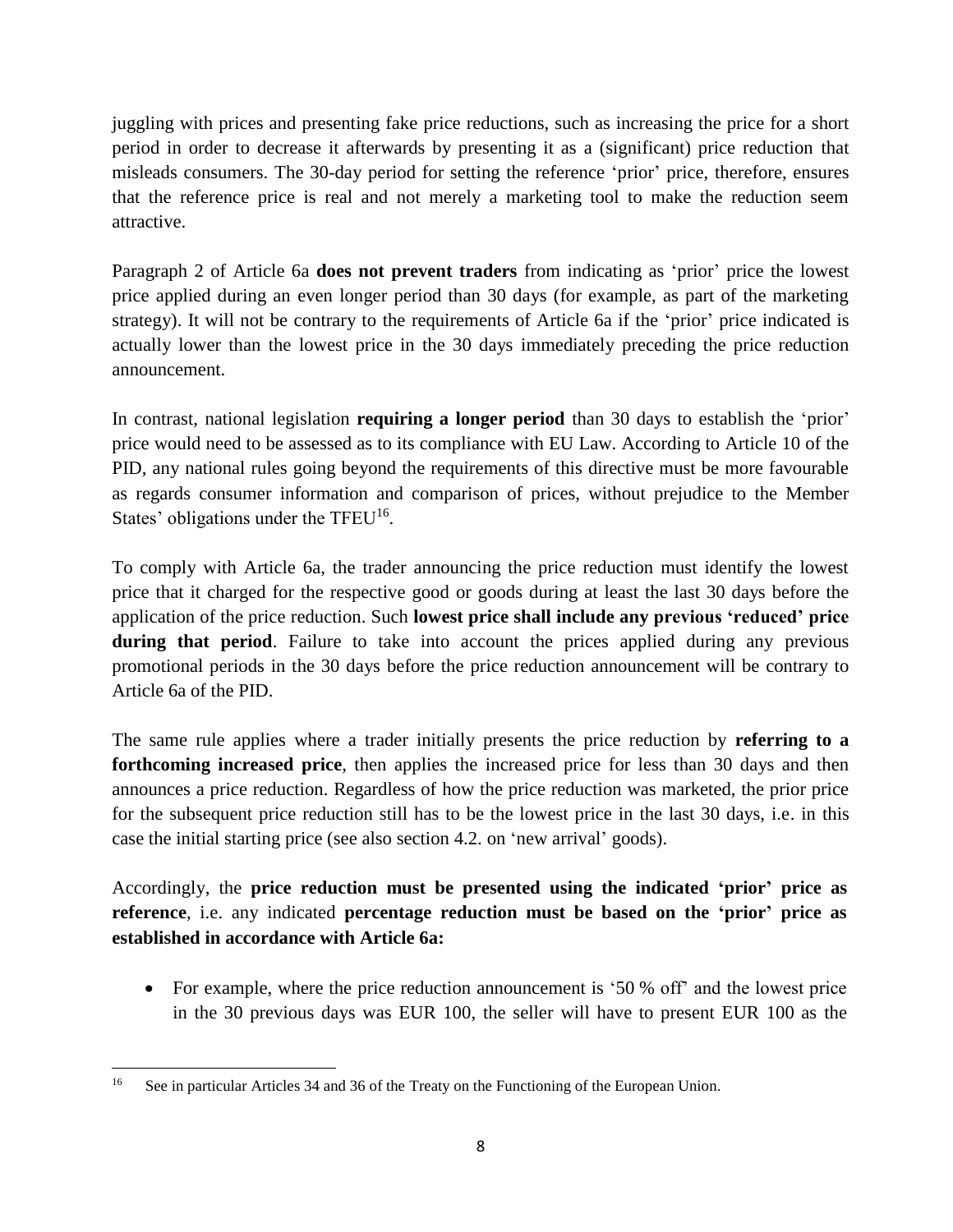juggling with prices and presenting fake price reductions, such as increasing the price for a short period in order to decrease it afterwards by presenting it as a (significant) price reduction that misleads consumers. The 30-day period for setting the reference 'prior' price, therefore, ensures that the reference price is real and not merely a marketing tool to make the reduction seem attractive.

Paragraph 2 of Article 6a **does not prevent traders** from indicating as 'prior' price the lowest price applied during an even longer period than 30 days (for example, as part of the marketing strategy). It will not be contrary to the requirements of Article 6a if the 'prior' price indicated is actually lower than the lowest price in the 30 days immediately preceding the price reduction announcement.

In contrast, national legislation **requiring a longer period** than 30 days to establish the 'prior' price would need to be assessed as to its compliance with EU Law. According to Article 10 of the PID, any national rules going beyond the requirements of this directive must be more favourable as regards consumer information and comparison of prices, without prejudice to the Member States' obligations under the TFEU<sup>16</sup>.

To comply with Article 6a, the trader announcing the price reduction must identify the lowest price that it charged for the respective good or goods during at least the last 30 days before the application of the price reduction. Such **lowest price shall include any previous 'reduced' price**  during that period. Failure to take into account the prices applied during any previous promotional periods in the 30 days before the price reduction announcement will be contrary to Article 6a of the PID.

The same rule applies where a trader initially presents the price reduction by **referring to a forthcoming increased price**, then applies the increased price for less than 30 days and then announces a price reduction. Regardless of how the price reduction was marketed, the prior price for the subsequent price reduction still has to be the lowest price in the last 30 days, i.e. in this case the initial starting price (see also section 4.2. on 'new arrival' goods).

Accordingly, the **price reduction must be presented using the indicated 'prior' price as reference**, i.e. any indicated **percentage reduction must be based on the 'prior' price as established in accordance with Article 6a:**

• For example, where the price reduction announcement is '50 % off' and the lowest price in the 30 previous days was EUR 100, the seller will have to present EUR 100 as the

<sup>16</sup> See in particular Articles 34 and 36 of the Treaty on the Functioning of the European Union.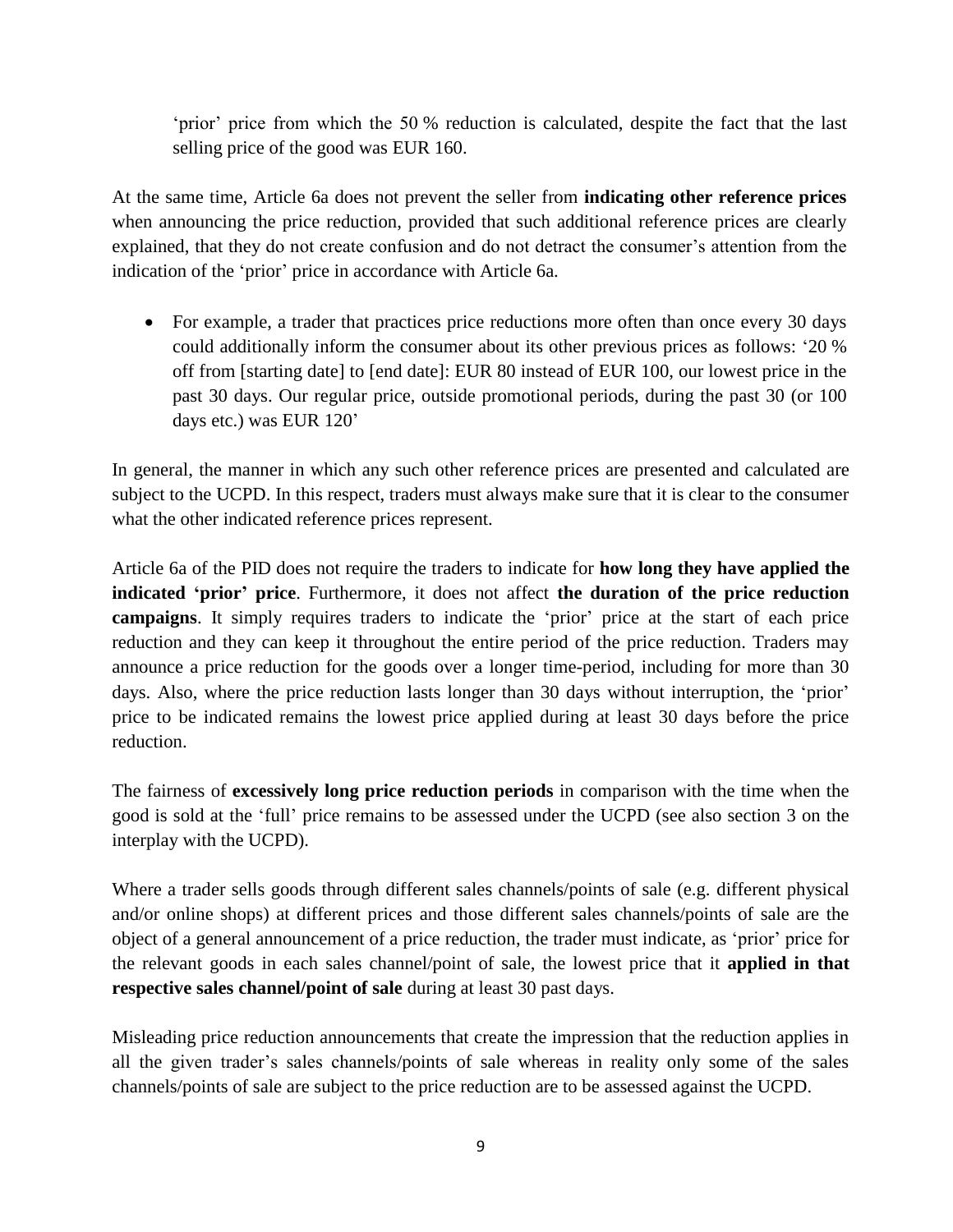'prior' price from which the 50 % reduction is calculated, despite the fact that the last selling price of the good was EUR 160.

At the same time, Article 6a does not prevent the seller from **indicating other reference prices** when announcing the price reduction, provided that such additional reference prices are clearly explained, that they do not create confusion and do not detract the consumer's attention from the indication of the 'prior' price in accordance with Article 6a.

• For example, a trader that practices price reductions more often than once every 30 days could additionally inform the consumer about its other previous prices as follows: '20 % off from [starting date] to [end date]: EUR 80 instead of EUR 100, our lowest price in the past 30 days. Our regular price, outside promotional periods, during the past 30 (or 100 days etc.) was EUR 120'

In general, the manner in which any such other reference prices are presented and calculated are subject to the UCPD. In this respect, traders must always make sure that it is clear to the consumer what the other indicated reference prices represent.

Article 6a of the PID does not require the traders to indicate for **how long they have applied the indicated 'prior' price**. Furthermore, it does not affect **the duration of the price reduction campaigns**. It simply requires traders to indicate the 'prior' price at the start of each price reduction and they can keep it throughout the entire period of the price reduction. Traders may announce a price reduction for the goods over a longer time-period, including for more than 30 days. Also, where the price reduction lasts longer than 30 days without interruption, the 'prior' price to be indicated remains the lowest price applied during at least 30 days before the price reduction.

The fairness of **excessively long price reduction periods** in comparison with the time when the good is sold at the 'full' price remains to be assessed under the UCPD (see also section 3 on the interplay with the UCPD).

Where a trader sells goods through different sales channels/points of sale (e.g. different physical and/or online shops) at different prices and those different sales channels/points of sale are the object of a general announcement of a price reduction, the trader must indicate, as 'prior' price for the relevant goods in each sales channel/point of sale, the lowest price that it **applied in that respective sales channel/point of sale** during at least 30 past days.

Misleading price reduction announcements that create the impression that the reduction applies in all the given trader's sales channels/points of sale whereas in reality only some of the sales channels/points of sale are subject to the price reduction are to be assessed against the UCPD.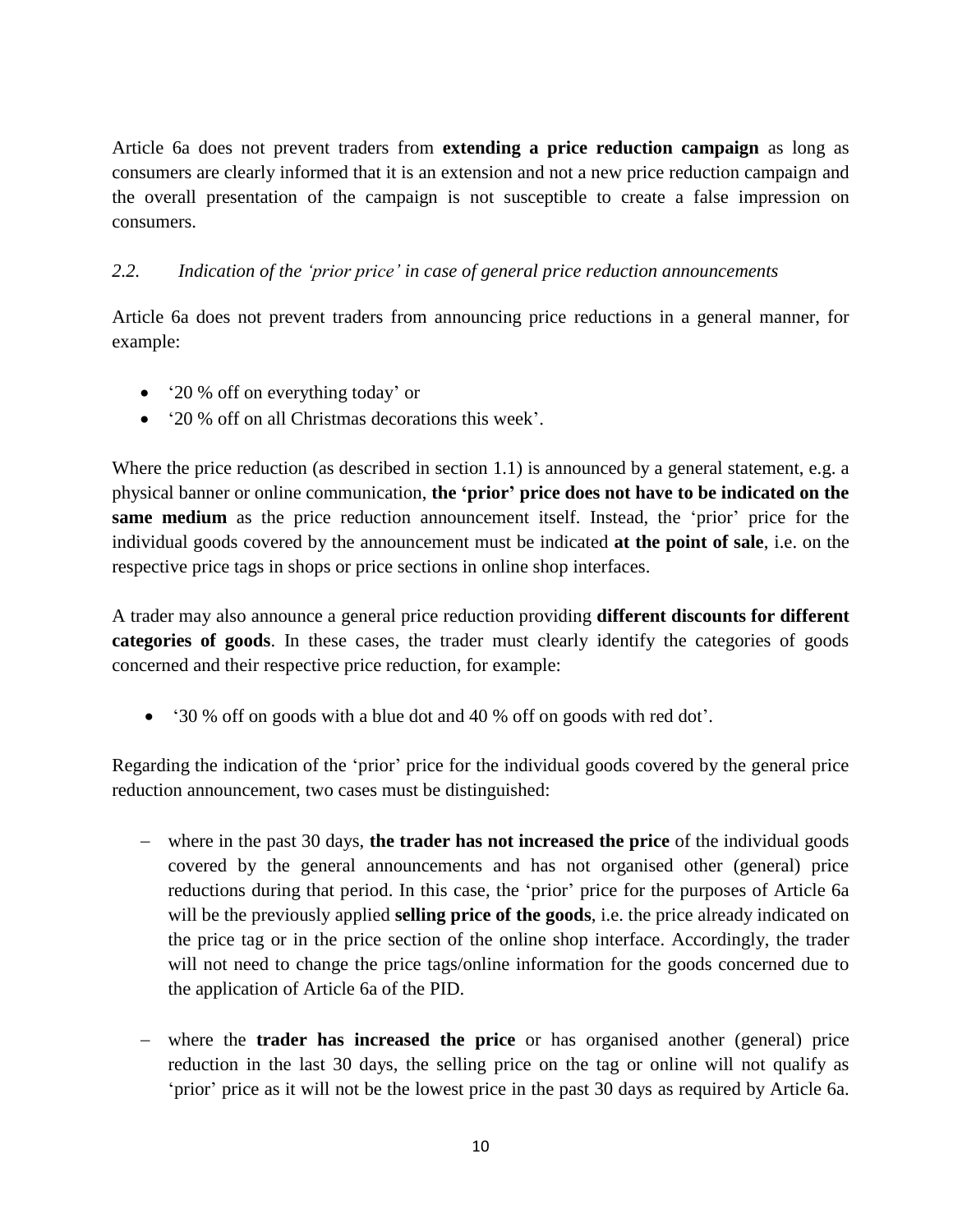Article 6a does not prevent traders from **extending a price reduction campaign** as long as consumers are clearly informed that it is an extension and not a new price reduction campaign and the overall presentation of the campaign is not susceptible to create a false impression on consumers.

## <span id="page-9-0"></span>*2.2. Indication of the 'prior price' in case of general price reduction announcements*

Article 6a does not prevent traders from announcing price reductions in a general manner, for example:

- '20 % off on everything today' or
- '20 % off on all Christmas decorations this week'.

Where the price reduction (as described in section 1.1) is announced by a general statement, e.g. a physical banner or online communication, **the 'prior' price does not have to be indicated on the same medium** as the price reduction announcement itself. Instead, the 'prior' price for the individual goods covered by the announcement must be indicated **at the point of sale**, i.e. on the respective price tags in shops or price sections in online shop interfaces.

A trader may also announce a general price reduction providing **different discounts for different categories of goods**. In these cases, the trader must clearly identify the categories of goods concerned and their respective price reduction, for example:

'30 % off on goods with a blue dot and 40 % off on goods with red dot'.

Regarding the indication of the 'prior' price for the individual goods covered by the general price reduction announcement, two cases must be distinguished:

- where in the past 30 days, **the trader has not increased the price** of the individual goods covered by the general announcements and has not organised other (general) price reductions during that period. In this case, the 'prior' price for the purposes of Article 6a will be the previously applied **selling price of the goods**, i.e. the price already indicated on the price tag or in the price section of the online shop interface. Accordingly, the trader will not need to change the price tags/online information for the goods concerned due to the application of Article 6a of the PID.
- where the **trader has increased the price** or has organised another (general) price reduction in the last 30 days, the selling price on the tag or online will not qualify as 'prior' price as it will not be the lowest price in the past 30 days as required by Article 6a.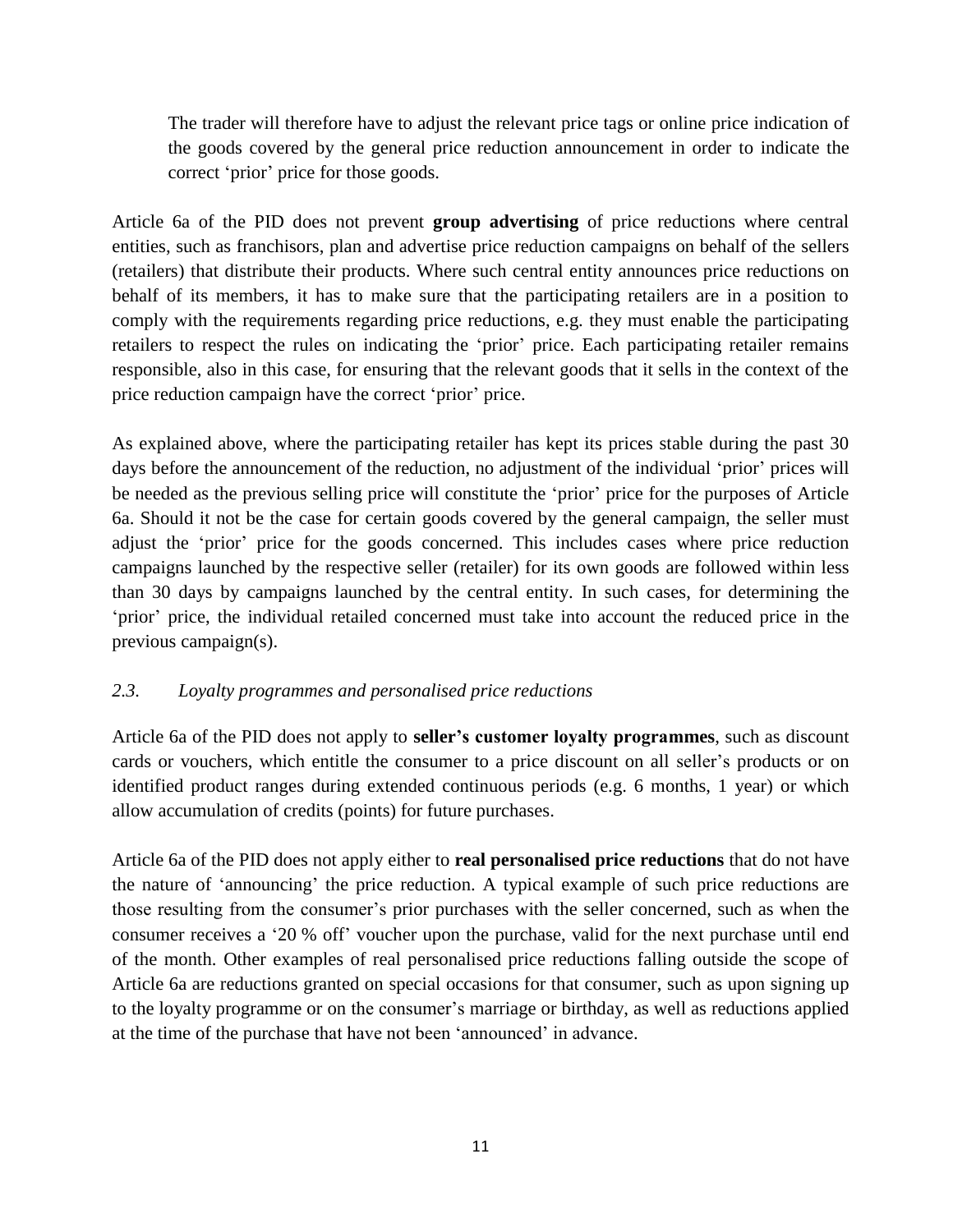The trader will therefore have to adjust the relevant price tags or online price indication of the goods covered by the general price reduction announcement in order to indicate the correct 'prior' price for those goods.

Article 6a of the PID does not prevent **group advertising** of price reductions where central entities, such as franchisors, plan and advertise price reduction campaigns on behalf of the sellers (retailers) that distribute their products. Where such central entity announces price reductions on behalf of its members, it has to make sure that the participating retailers are in a position to comply with the requirements regarding price reductions, e.g. they must enable the participating retailers to respect the rules on indicating the 'prior' price. Each participating retailer remains responsible, also in this case, for ensuring that the relevant goods that it sells in the context of the price reduction campaign have the correct 'prior' price.

As explained above, where the participating retailer has kept its prices stable during the past 30 days before the announcement of the reduction, no adjustment of the individual 'prior' prices will be needed as the previous selling price will constitute the 'prior' price for the purposes of Article 6a. Should it not be the case for certain goods covered by the general campaign, the seller must adjust the 'prior' price for the goods concerned. This includes cases where price reduction campaigns launched by the respective seller (retailer) for its own goods are followed within less than 30 days by campaigns launched by the central entity. In such cases, for determining the 'prior' price, the individual retailed concerned must take into account the reduced price in the previous campaign(s).

## <span id="page-10-0"></span>*2.3. Loyalty programmes and personalised price reductions*

Article 6a of the PID does not apply to **seller's customer loyalty programmes**, such as discount cards or vouchers, which entitle the consumer to a price discount on all seller's products or on identified product ranges during extended continuous periods (e.g. 6 months, 1 year) or which allow accumulation of credits (points) for future purchases.

Article 6a of the PID does not apply either to **real personalised price reductions** that do not have the nature of 'announcing' the price reduction. A typical example of such price reductions are those resulting from the consumer's prior purchases with the seller concerned, such as when the consumer receives a '20 % off' voucher upon the purchase, valid for the next purchase until end of the month. Other examples of real personalised price reductions falling outside the scope of Article 6a are reductions granted on special occasions for that consumer, such as upon signing up to the loyalty programme or on the consumer's marriage or birthday, as well as reductions applied at the time of the purchase that have not been 'announced' in advance.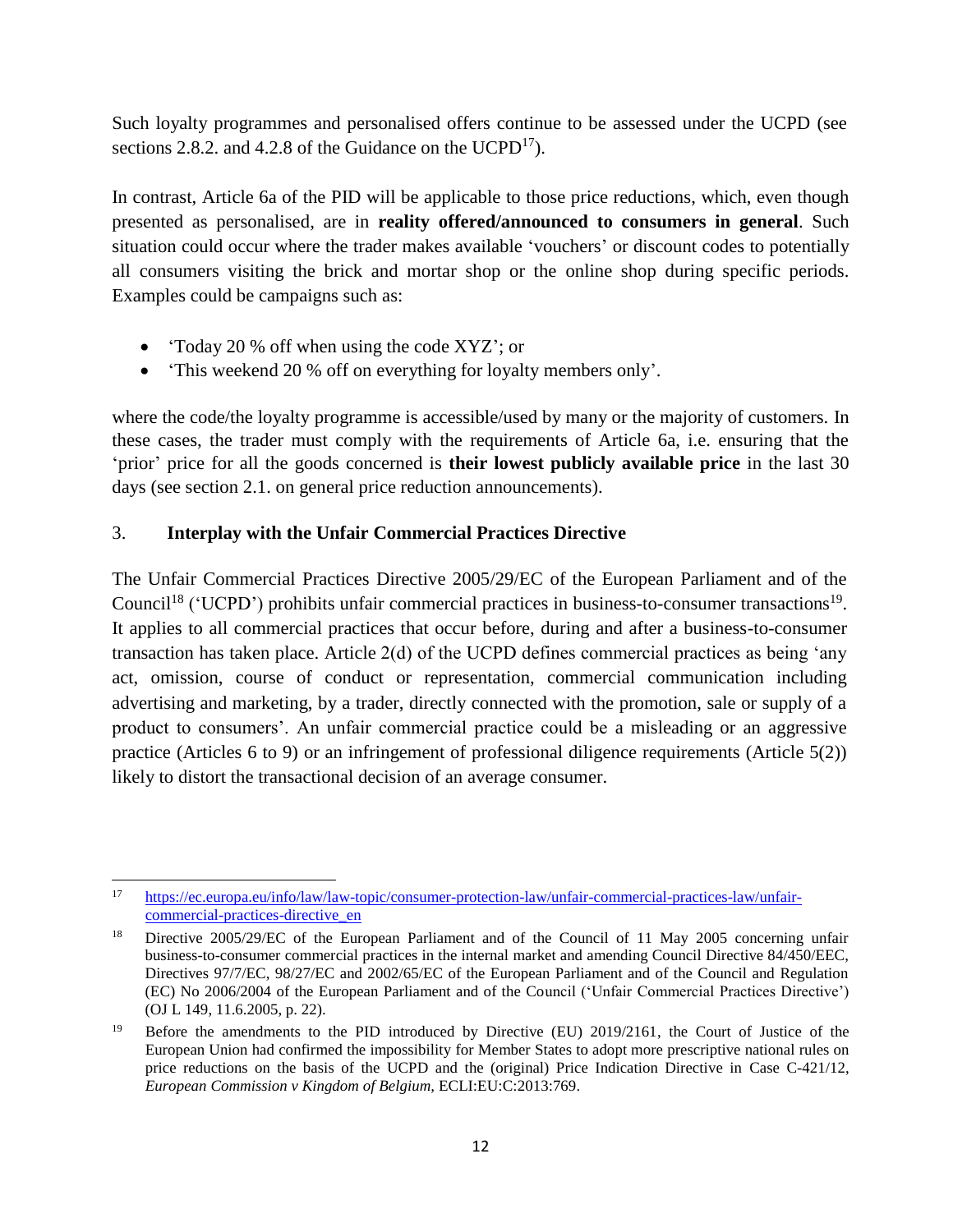Such loyalty programmes and personalised offers continue to be assessed under the UCPD (see sections 2.8.2. and 4.2.8 of the Guidance on the  $UCPD<sup>17</sup>$ ).

In contrast, Article 6a of the PID will be applicable to those price reductions, which, even though presented as personalised, are in **reality offered/announced to consumers in general**. Such situation could occur where the trader makes available 'vouchers' or discount codes to potentially all consumers visiting the brick and mortar shop or the online shop during specific periods. Examples could be campaigns such as:

- 'Today 20 % off when using the code XYZ'; or
- 'This weekend 20 % off on everything for loyalty members only'.

where the code/the loyalty programme is accessible/used by many or the majority of customers. In these cases, the trader must comply with the requirements of Article 6a, i.e. ensuring that the 'prior' price for all the goods concerned is **their lowest publicly available price** in the last 30 days (see section 2.1. on general price reduction announcements).

## <span id="page-11-0"></span>3. **Interplay with the Unfair Commercial Practices Directive**

The Unfair Commercial Practices Directive 2005/29/EC of the European Parliament and of the Council<sup>18</sup> ('UCPD') prohibits unfair commercial practices in business-to-consumer transactions<sup>19</sup>. It applies to all commercial practices that occur before, during and after a business-to-consumer transaction has taken place. Article 2(d) of the UCPD defines commercial practices as being 'any act, omission, course of conduct or representation, commercial communication including advertising and marketing, by a trader, directly connected with the promotion, sale or supply of a product to consumers'. An unfair commercial practice could be a misleading or an aggressive practice (Articles 6 to 9) or an infringement of professional diligence requirements (Article 5(2)) likely to distort the transactional decision of an average consumer.

 $17\,$ <sup>17</sup> [https://ec.europa.eu/info/law/law-topic/consumer-protection-law/unfair-commercial-practices-law/unfair](https://ec.europa.eu/info/law/law-topic/consumer-protection-law/unfair-commercial-practices-law/unfair-commercial-practices-directive_en)[commercial-practices-directive\\_en](https://ec.europa.eu/info/law/law-topic/consumer-protection-law/unfair-commercial-practices-law/unfair-commercial-practices-directive_en)

<sup>&</sup>lt;sup>18</sup> Directive 2005/29/EC of the European Parliament and of the Council of 11 May 2005 concerning unfair business-to-consumer commercial practices in the internal market and amending Council Directive 84/450/EEC, Directives 97/7/EC, 98/27/EC and 2002/65/EC of the European Parliament and of the Council and Regulation (EC) No 2006/2004 of the European Parliament and of the Council ('Unfair Commercial Practices Directive') (OJ L 149, 11.6.2005, p. 22).

<sup>&</sup>lt;sup>19</sup> Before the amendments to the PID introduced by Directive (EU) 2019/2161, the Court of Justice of the European Union had confirmed the impossibility for Member States to adopt more prescriptive national rules on price reductions on the basis of the UCPD and the (original) Price Indication Directive in Case C-421/12, *European Commission v Kingdom of Belgium,* ECLI:EU:C:2013:769.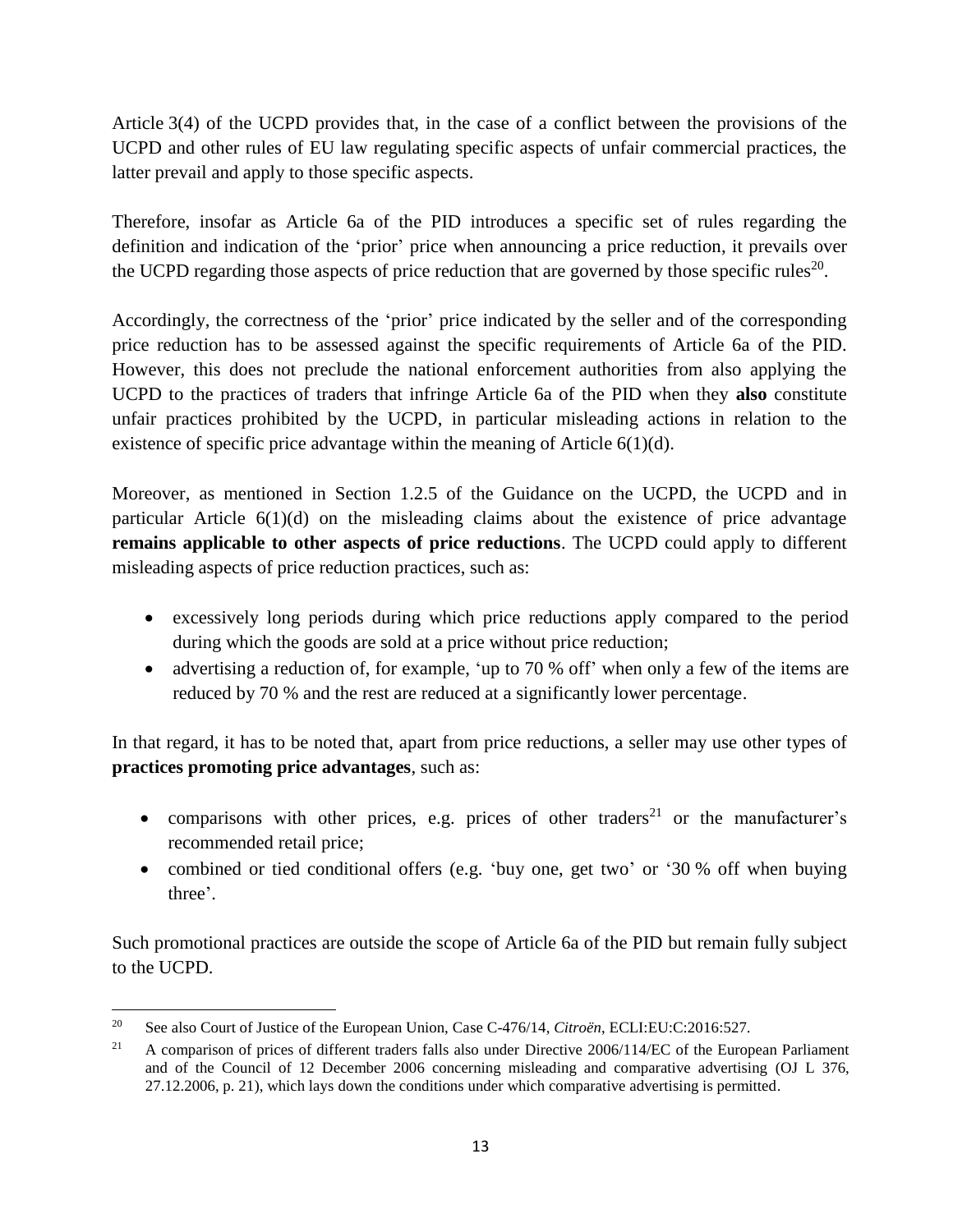Article 3(4) of the UCPD provides that, in the case of a conflict between the provisions of the UCPD and other rules of EU law regulating specific aspects of unfair commercial practices, the latter prevail and apply to those specific aspects.

Therefore, insofar as Article 6a of the PID introduces a specific set of rules regarding the definition and indication of the 'prior' price when announcing a price reduction, it prevails over the UCPD regarding those aspects of price reduction that are governed by those specific rules<sup>20</sup>.

Accordingly, the correctness of the 'prior' price indicated by the seller and of the corresponding price reduction has to be assessed against the specific requirements of Article 6a of the PID. However, this does not preclude the national enforcement authorities from also applying the UCPD to the practices of traders that infringe Article 6a of the PID when they **also** constitute unfair practices prohibited by the UCPD, in particular misleading actions in relation to the existence of specific price advantage within the meaning of Article  $6(1)(d)$ .

Moreover, as mentioned in Section 1.2.5 of the Guidance on the UCPD, the UCPD and in particular Article  $6(1)(d)$  on the misleading claims about the existence of price advantage **remains applicable to other aspects of price reductions**. The UCPD could apply to different misleading aspects of price reduction practices, such as:

- excessively long periods during which price reductions apply compared to the period during which the goods are sold at a price without price reduction;
- advertising a reduction of, for example, 'up to 70 % off' when only a few of the items are reduced by 70 % and the rest are reduced at a significantly lower percentage.

In that regard, it has to be noted that, apart from price reductions, a seller may use other types of **practices promoting price advantages**, such as:

- comparisons with other prices, e.g. prices of other traders<sup>21</sup> or the manufacturer's recommended retail price;
- combined or tied conditional offers (e.g. 'buy one, get two' or '30 % off when buying three'.

Such promotional practices are outside the scope of Article 6a of the PID but remain fully subject to the UCPD.

<sup>20</sup> <sup>20</sup> See also Court of Justice of the European Union, Case C-476/14, *Citroën*, ECLI:EU:C:2016:527.

<sup>&</sup>lt;sup>21</sup> A comparison of prices of different traders falls also under Directive 2006/114/EC of the European Parliament and of the Council of 12 December 2006 concerning misleading and comparative advertising (OJ L 376, 27.12.2006, p. 21), which lays down the conditions under which comparative advertising is permitted.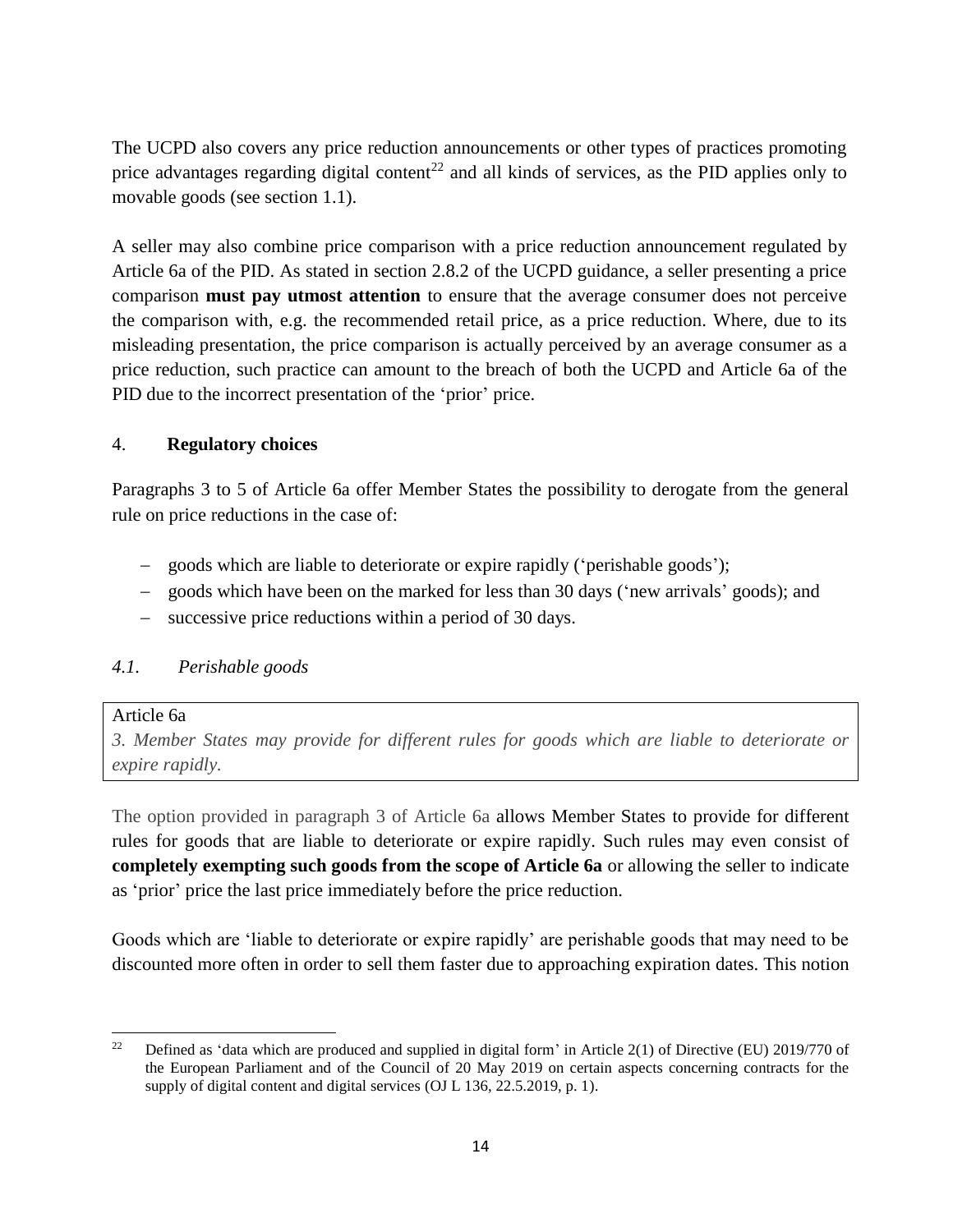The UCPD also covers any price reduction announcements or other types of practices promoting price advantages regarding digital content<sup>22</sup> and all kinds of services, as the PID applies only to movable goods (see section 1.1).

A seller may also combine price comparison with a price reduction announcement regulated by Article 6a of the PID. As stated in section 2.8.2 of the UCPD guidance, a seller presenting a price comparison **must pay utmost attention** to ensure that the average consumer does not perceive the comparison with, e.g. the recommended retail price, as a price reduction. Where, due to its misleading presentation, the price comparison is actually perceived by an average consumer as a price reduction, such practice can amount to the breach of both the UCPD and Article 6a of the PID due to the incorrect presentation of the 'prior' price.

### <span id="page-13-0"></span>4. **Regulatory choices**

Paragraphs 3 to 5 of Article 6a offer Member States the possibility to derogate from the general rule on price reductions in the case of:

- goods which are liable to deteriorate or expire rapidly ('perishable goods');
- goods which have been on the marked for less than 30 days ('new arrivals' goods); and
- successive price reductions within a period of 30 days.

## <span id="page-13-1"></span>*4.1. Perishable goods*

### Article 6a

*3. Member States may provide for different rules for goods which are liable to deteriorate or expire rapidly.*

The option provided in paragraph 3 of Article 6a allows Member States to provide for different rules for goods that are liable to deteriorate or expire rapidly. Such rules may even consist of **completely exempting such goods from the scope of Article 6a** or allowing the seller to indicate as 'prior' price the last price immediately before the price reduction.

Goods which are 'liable to deteriorate or expire rapidly' are perishable goods that may need to be discounted more often in order to sell them faster due to approaching expiration dates. This notion

 $\overline{\phantom{a}}$ <sup>22</sup> Defined as 'data which are produced and supplied in digital form' in Article 2(1) of Directive (EU) 2019/770 of the European Parliament and of the Council of 20 May 2019 on certain aspects concerning contracts for the supply of digital content and digital services (OJ L 136, 22.5.2019, p. 1).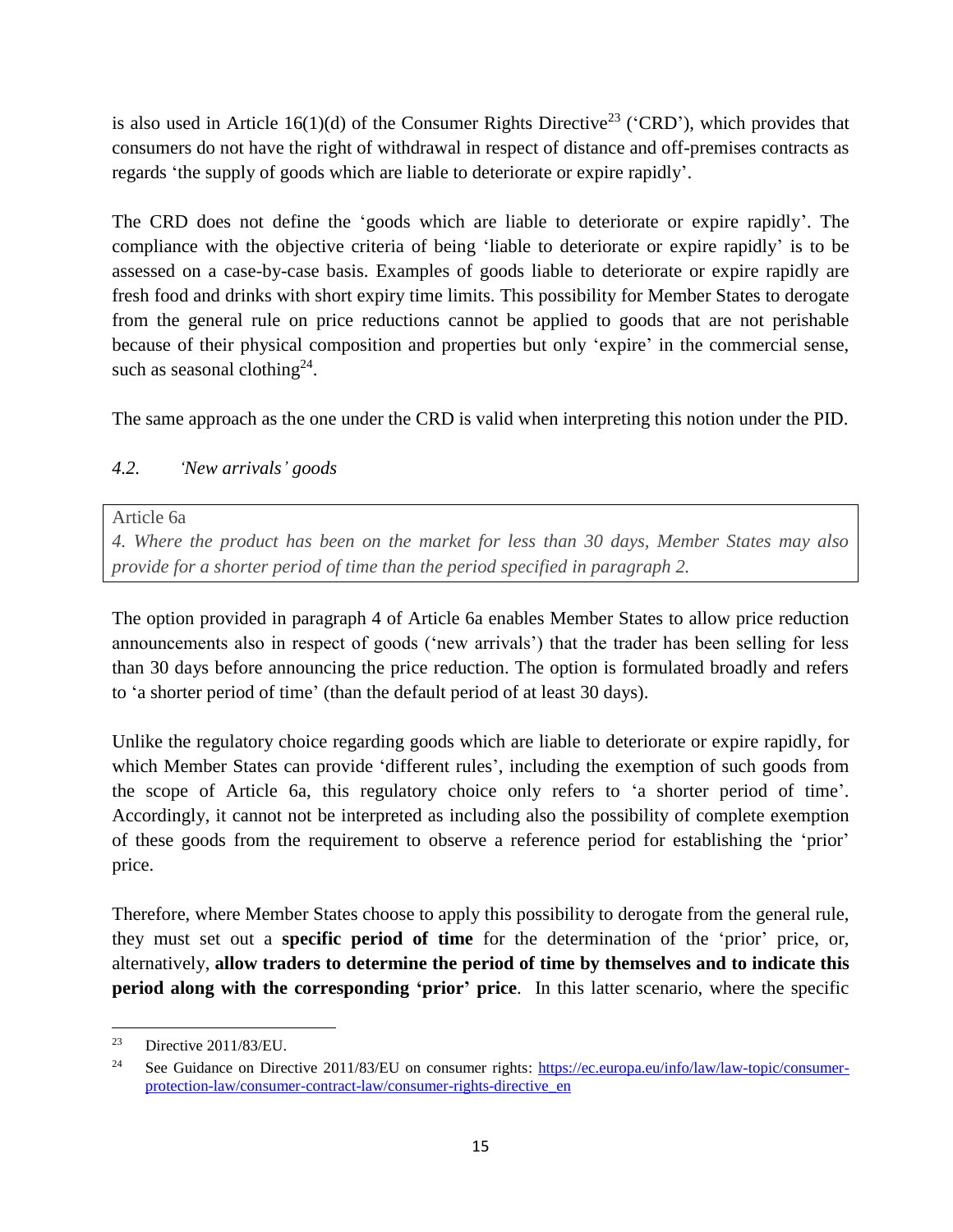is also used in Article 16(1)(d) of the Consumer Rights Directive<sup>23</sup> ('CRD'), which provides that consumers do not have the right of withdrawal in respect of distance and off-premises contracts as regards 'the supply of goods which are liable to deteriorate or expire rapidly'.

The CRD does not define the 'goods which are liable to deteriorate or expire rapidly'. The compliance with the objective criteria of being 'liable to deteriorate or expire rapidly' is to be assessed on a case-by-case basis. Examples of goods liable to deteriorate or expire rapidly are fresh food and drinks with short expiry time limits. This possibility for Member States to derogate from the general rule on price reductions cannot be applied to goods that are not perishable because of their physical composition and properties but only 'expire' in the commercial sense, such as seasonal clothing<sup>24</sup>.

The same approach as the one under the CRD is valid when interpreting this notion under the PID.

## <span id="page-14-0"></span>*4.2. 'New arrivals' goods*

Article 6a

*4. Where the product has been on the market for less than 30 days, Member States may also provide for a shorter period of time than the period specified in paragraph 2.*

The option provided in paragraph 4 of Article 6a enables Member States to allow price reduction announcements also in respect of goods ('new arrivals') that the trader has been selling for less than 30 days before announcing the price reduction. The option is formulated broadly and refers to 'a shorter period of time' (than the default period of at least 30 days).

Unlike the regulatory choice regarding goods which are liable to deteriorate or expire rapidly, for which Member States can provide 'different rules', including the exemption of such goods from the scope of Article 6a, this regulatory choice only refers to 'a shorter period of time'. Accordingly, it cannot not be interpreted as including also the possibility of complete exemption of these goods from the requirement to observe a reference period for establishing the 'prior' price.

Therefore, where Member States choose to apply this possibility to derogate from the general rule, they must set out a **specific period of time** for the determination of the 'prior' price, or, alternatively, **allow traders to determine the period of time by themselves and to indicate this period along with the corresponding 'prior' price**. In this latter scenario, where the specific

<sup>23</sup> Directive 2011/83/EU.

<sup>&</sup>lt;sup>24</sup> See Guidance on Directive 2011/83/EU on consumer rights: [https://ec.europa.eu/info/law/law-topic/consumer](https://ec.europa.eu/info/law/law-topic/consumer-protection-law/consumer-contract-law/consumer-rights-directive_en)[protection-law/consumer-contract-law/consumer-rights-directive\\_en](https://ec.europa.eu/info/law/law-topic/consumer-protection-law/consumer-contract-law/consumer-rights-directive_en)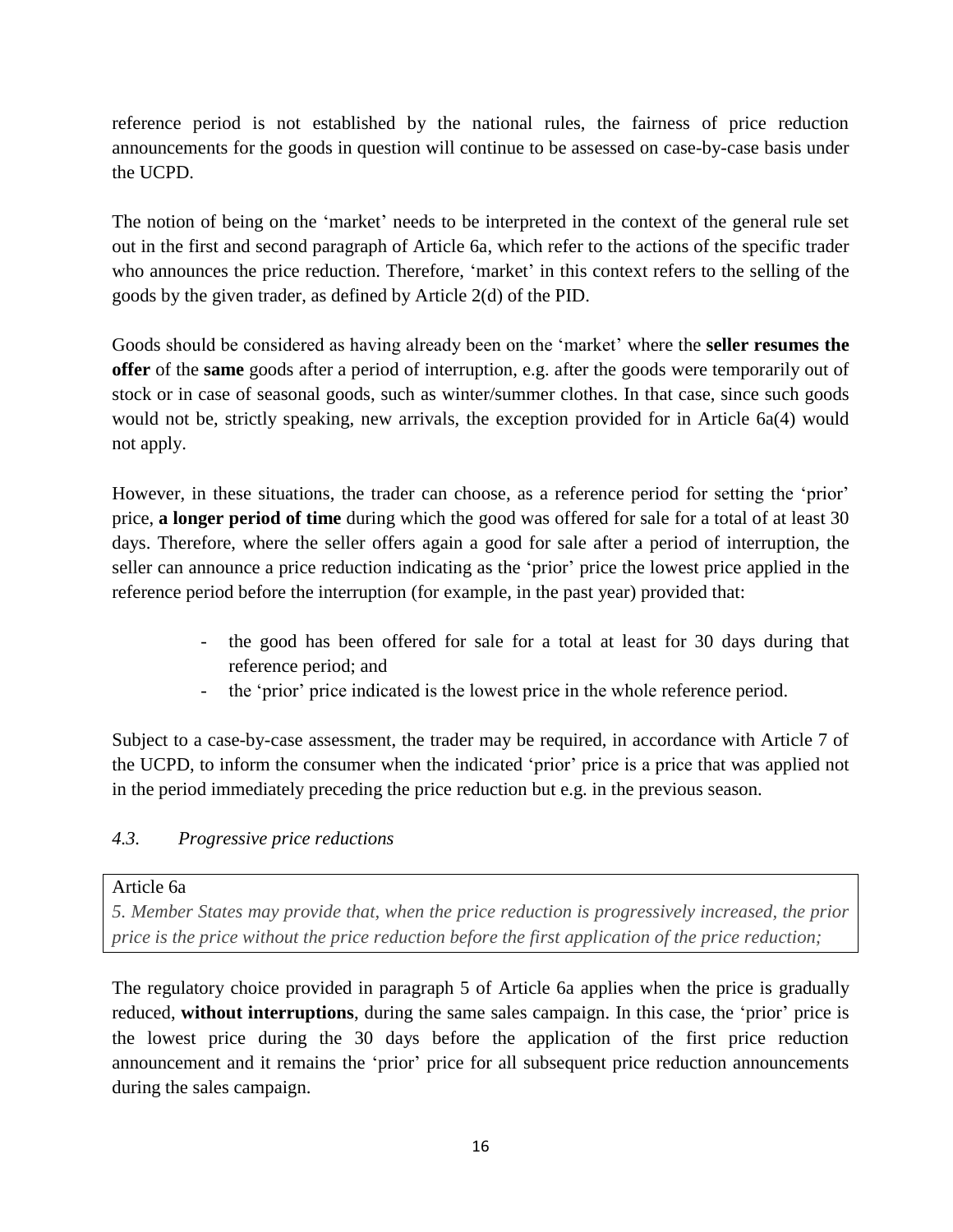reference period is not established by the national rules, the fairness of price reduction announcements for the goods in question will continue to be assessed on case-by-case basis under the UCPD.

The notion of being on the 'market' needs to be interpreted in the context of the general rule set out in the first and second paragraph of Article 6a, which refer to the actions of the specific trader who announces the price reduction. Therefore, 'market' in this context refers to the selling of the goods by the given trader, as defined by Article 2(d) of the PID.

Goods should be considered as having already been on the 'market' where the **seller resumes the offer** of the **same** goods after a period of interruption, e.g. after the goods were temporarily out of stock or in case of seasonal goods, such as winter/summer clothes. In that case, since such goods would not be, strictly speaking, new arrivals, the exception provided for in Article 6a(4) would not apply.

However, in these situations, the trader can choose, as a reference period for setting the 'prior' price, **a longer period of time** during which the good was offered for sale for a total of at least 30 days. Therefore, where the seller offers again a good for sale after a period of interruption, the seller can announce a price reduction indicating as the 'prior' price the lowest price applied in the reference period before the interruption (for example, in the past year) provided that:

- the good has been offered for sale for a total at least for 30 days during that reference period; and
- the 'prior' price indicated is the lowest price in the whole reference period.

Subject to a case-by-case assessment, the trader may be required, in accordance with Article 7 of the UCPD, to inform the consumer when the indicated 'prior' price is a price that was applied not in the period immediately preceding the price reduction but e.g. in the previous season.

## <span id="page-15-0"></span>*4.3. Progressive price reductions*

#### Article 6a

*5. Member States may provide that, when the price reduction is progressively increased, the prior price is the price without the price reduction before the first application of the price reduction;*

The regulatory choice provided in paragraph 5 of Article 6a applies when the price is gradually reduced, **without interruptions**, during the same sales campaign. In this case, the 'prior' price is the lowest price during the 30 days before the application of the first price reduction announcement and it remains the 'prior' price for all subsequent price reduction announcements during the sales campaign.